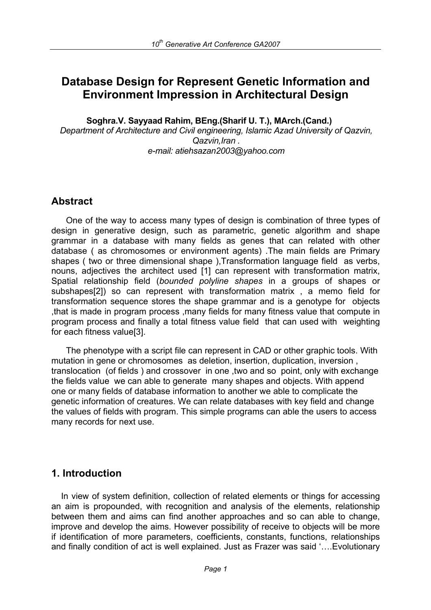# **Database Design for Represent Genetic Information and Environment Impression in Architectural Design**

**Soghra.V. Sayyaad Rahim, BEng.(Sharif U. T.), MArch.(Cand.)**  *Department of Architecture and Civil engineering, Islamic Azad University of Qazvin, Qazvin,Iran . e-mail: atiehsazan2003@yahoo.com* 

# **Abstract**

 One of the way to access many types of design is combination of three types of design in generative design, such as parametric, genetic algorithm and shape grammar in a database with many fields as genes that can related with other database ( as chromosomes or environment agents) .The main fields are Primary shapes ( two or three dimensional shape ), Transformation language field as verbs, nouns, adjectives the architect used [1] can represent with transformation matrix, Spatial relationship field (*bounded polyline shapes* in a groups of shapes or subshapes[2]) so can represent with transformation matrix , a memo field for transformation sequence stores the shape grammar and is a genotype for objects ,that is made in program process ,many fields for many fitness value that compute in program process and finally a total fitness value field that can used with weighting for each fitness value[3].

 The phenotype with a script file can represent in CAD or other graphic tools. With mutation in gene or chromosomes as deletion, insertion, duplication, inversion , translocation (of fields ) and crossover in one ,two and so point, only with exchange the fields value we can able to generate many shapes and objects. With append one or many fields of database information to another we able to complicate the genetic information of creatures. We can relate databases with key field and change the values of fields with program. This simple programs can able the users to access many records for next use.

# **1. Introduction**

 In view of system definition, collection of related elements or things for accessing an aim is propounded, with recognition and analysis of the elements, relationship between them and aims can find another approaches and so can able to change, improve and develop the aims. However possibility of receive to objects will be more if identification of more parameters, coefficients, constants, functions, relationships and finally condition of act is well explained. Just as Frazer was said '….Evolutionary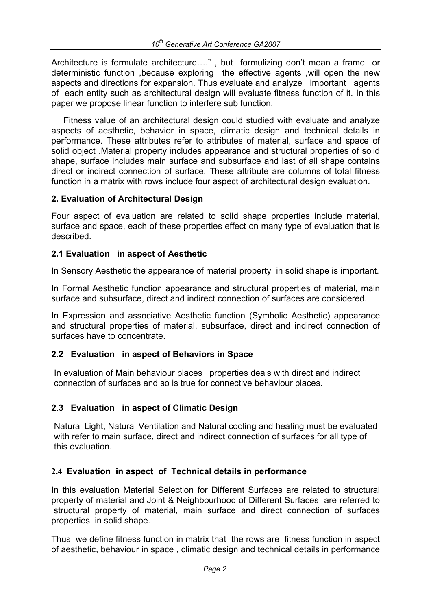Architecture is formulate architecture…." , but formulizing don't mean a frame or deterministic function ,because exploring the effective agents ,will open the new aspects and directions for expansion. Thus evaluate and analyze important agents of each entity such as architectural design will evaluate fitness function of it. In this paper we propose linear function to interfere sub function.

 Fitness value of an architectural design could studied with evaluate and analyze aspects of aesthetic, behavior in space, climatic design and technical details in performance. These attributes refer to attributes of material, surface and space of solid object .Material property includes appearance and structural properties of solid shape, surface includes main surface and subsurface and last of all shape contains direct or indirect connection of surface. These attribute are columns of total fitness function in a matrix with rows include four aspect of architectural design evaluation.

#### **2. Evaluation of Architectural Design**

Four aspect of evaluation are related to solid shape properties include material, surface and space, each of these properties effect on many type of evaluation that is described.

#### **2.1 Evaluation in aspect of Aesthetic**

In Sensory Aesthetic the appearance of material property in solid shape is important.

In Formal Aesthetic function appearance and structural properties of material, main surface and subsurface, direct and indirect connection of surfaces are considered.

In Expression and associative Aesthetic function (Symbolic Aesthetic) appearance and structural properties of material, subsurface, direct and indirect connection of surfaces have to concentrate.

## **2.2 Evaluation in aspect of Behaviors in Space**

In evaluation of Main behaviour places properties deals with direct and indirect connection of surfaces and so is true for connective behaviour places.

## **2.3 Evaluation in aspect of Climatic Design**

Natural Light, Natural Ventilation and Natural cooling and heating must be evaluated with refer to main surface, direct and indirect connection of surfaces for all type of this evaluation.

## **2.4 Evaluation in aspect of Technical details in performance**

In this evaluation Material Selection for Different Surfaces are related to structural property of material and Joint & Neighbourhood of Different Surfaces are referred to structural property of material, main surface and direct connection of surfaces properties in solid shape.

Thus we define fitness function in matrix that the rows are fitness function in aspect of aesthetic, behaviour in space , climatic design and technical details in performance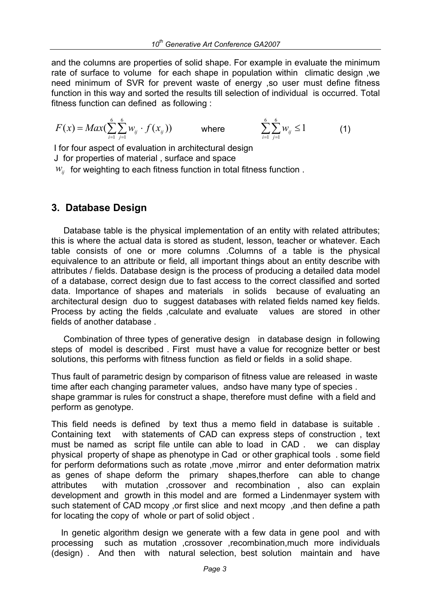and the columns are properties of solid shape. For example in evaluate the minimum rate of surface to volume for each shape in population within climatic design ,we need minimum of SVR for prevent waste of energy ,so user must define fitness function in this way and sorted the results till selection of individual is occurred. Total fitness function can defined as following :

$$
F(x) = Max(\sum_{i=1}^{6} \sum_{j=1}^{6} w_{ij} \cdot f(x_{ij})) \qquad \text{where} \qquad \sum_{i=1}^{6} \sum_{j=1}^{6} w_{ij} \le 1 \qquad (1)
$$

I for four aspect of evaluation in architectural design J for properties of material , surface and space

 $W_{ii}$  for weighting to each fitness function in total fitness function.

## **3. Database Design**

 Database table is the physical implementation of an entity with related attributes; this is where the actual data is stored as student, lesson, teacher or whatever. Each table consists of one or more columns .Columns of a table is the physical equivalence to an attribute or field, all important things about an entity describe with attributes / fields. Database design is the process of producing a detailed data model of a database, correct design due to fast access to the correct classified and sorted data. Importance of shapes and materials in solids because of evaluating an architectural design duo to suggest databases with related fields named key fields. Process by acting the fields , calculate and evaluate values are stored in other fields of another database .

 Combination of three types of generative design in database design in following steps of model is described . First must have a value for recognize better or best solutions, this performs with fitness function as field or fields in a solid shape.

Thus fault of parametric design by comparison of fitness value are released in waste time after each changing parameter values, andso have many type of species . shape grammar is rules for construct a shape, therefore must define with a field and perform as genotype.

This field needs is defined by text thus a memo field in database is suitable . Containing text with statements of CAD can express steps of construction , text must be named as script file untile can able to load in CAD . we can display physical property of shape as phenotype in Cad or other graphical tools . some field for perform deformations such as rotate ,move ,mirror and enter deformation matrix as genes of shape deform the primary shapes,therfore can able to change attributes with mutation ,crossover and recombination , also can explain development and growth in this model and are formed a Lindenmayer system with such statement of CAD mcopy ,or first slice and next mcopy ,and then define a path for locating the copy of whole or part of solid object .

 In genetic algorithm design we generate with a few data in gene pool and with processing such as mutation ,crossover ,recombination,much more individuals (design) . And then with natural selection, best solution maintain and have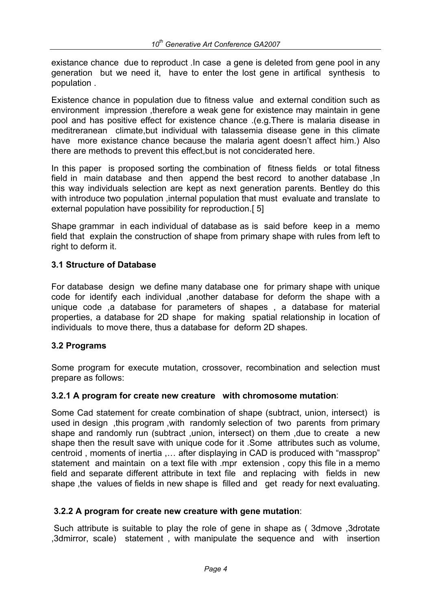existance chance due to reproduct .In case a gene is deleted from gene pool in any generation but we need it, have to enter the lost gene in artifical synthesis to population .

Existence chance in population due to fitness value and external condition such as environment impression ,therefore a weak gene for existence may maintain in gene pool and has positive effect for existence chance .(e.g.There is malaria disease in meditreranean climate,but individual with talassemia disease gene in this climate have more existance chance because the malaria agent doesn't affect him.) Also there are methods to prevent this effect,but is not conciderated here.

In this paper is proposed sorting the combination of fitness fields or total fitness field in main database and then append the best record to another database ,In this way individuals selection are kept as next generation parents. Bentley do this with introduce two population , internal population that must evaluate and translate to external population have possibility for reproduction.[ 5]

Shape grammar in each individual of database as is said before keep in a memo field that explain the construction of shape from primary shape with rules from left to right to deform it.

#### **3.1 Structure of Database**

For database design we define many database one for primary shape with unique code for identify each individual ,another database for deform the shape with a unique code ,a database for parameters of shapes , a database for material properties, a database for 2D shape for making spatial relationship in location of individuals to move there, thus a database for deform 2D shapes.

#### **3.2 Programs**

Some program for execute mutation, crossover, recombination and selection must prepare as follows:

#### **3.2.1 A program for create new creature with chromosome mutation**:

Some Cad statement for create combination of shape (subtract, union, intersect) is used in design ,this program ,with randomly selection of two parents from primary shape and randomly run (subtract ,union, intersect) on them ,due to create a new shape then the result save with unique code for it .Some attributes such as volume, centroid , moments of inertia ,… after displaying in CAD is produced with "massprop" statement and maintain on a text file with .mpr extension , copy this file in a memo field and separate different attribute in text file and replacing with fields in new shape ,the values of fields in new shape is filled and get ready for next evaluating.

#### **3.2.2 A program for create new creature with gene mutation**:

 Such attribute is suitable to play the role of gene in shape as ( 3dmove ,3drotate ,3dmirror, scale) statement , with manipulate the sequence and with insertion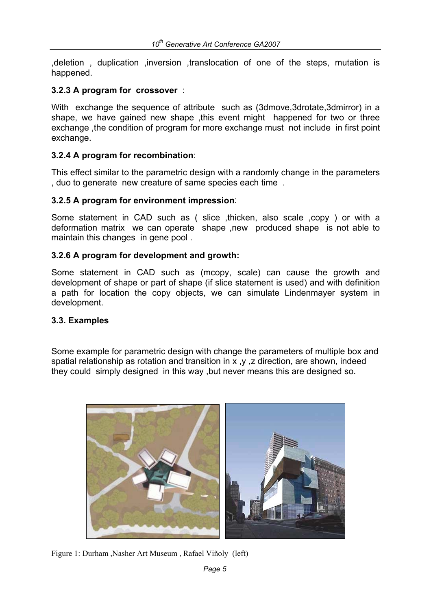,deletion , duplication ,inversion ,translocation of one of the steps, mutation is happened.

#### **3.2.3 A program for crossover** :

With exchange the sequence of attribute such as (3dmove,3drotate,3dmirror) in a shape, we have gained new shape ,this event might happened for two or three exchange ,the condition of program for more exchange must not include in first point exchange.

#### **3.2.4 A program for recombination**:

This effect similar to the parametric design with a randomly change in the parameters , duo to generate new creature of same species each time .

#### **3.2.5 A program for environment impression**:

Some statement in CAD such as ( slice ,thicken, also scale ,copy ) or with a deformation matrix we can operate shape ,new produced shape is not able to maintain this changes in gene pool .

#### **3.2.6 A program for development and growth:**

Some statement in CAD such as (mcopy, scale) can cause the growth and development of shape or part of shape (if slice statement is used) and with definition a path for location the copy objects, we can simulate Lindenmayer system in development.

#### **3.3. Examples**

Some example for parametric design with change the parameters of multiple box and spatial relationship as rotation and transition in x ,y ,z direction, are shown, indeed they could simply designed in this way ,but never means this are designed so.



Figure 1: Durham ,Nasher Art Museum , Rafael Viñoly (left)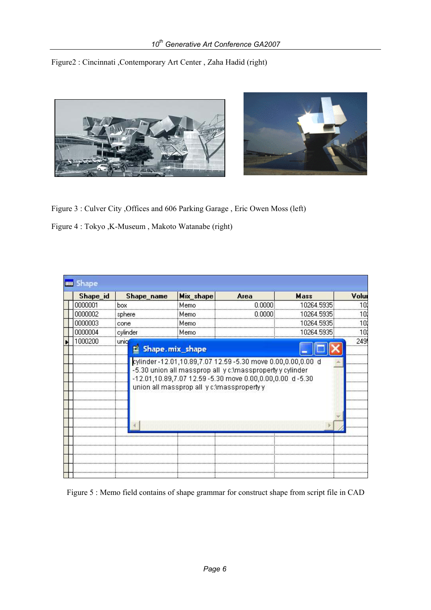Figure2 : Cincinnati ,Contemporary Art Center , Zaha Hadid (right)



Figure 3 : Culver City ,Offices and 606 Parking Garage , Eric Owen Moss (left)

Figure 4 : Tokyo ,K-Museum , Makoto Watanabe (right)

| Shape_id | Shape_name                                                                                                                                                          | Mix_shape | Area   | Mass       | Volu |
|----------|---------------------------------------------------------------------------------------------------------------------------------------------------------------------|-----------|--------|------------|------|
| 0000001  | box                                                                                                                                                                 | Memo      | n nann | 10264.5935 |      |
| 0000002  | sphere                                                                                                                                                              | Memo      | n nnnn | 10264.5935 |      |
| 0000003  | cone                                                                                                                                                                | Memo      |        | 10264.5935 |      |
| 0000004  | cylinder                                                                                                                                                            | Memo      |        | 10264.5935 |      |
| I NAN2NA | unic<br>閨<br>Shape.mix_shape<br>cylinder-12.01,10.89,7.07 12.59-5.30 move 0.00,0.00,0.00 d                                                                          |           |        |            |      |
|          | -5.30 union all massprop all y c:\massproperty y cylinder<br>-12.01,10.89,7.07 12.59 -5.30 move 0.00,0.00,0.00 d -5.30<br>union all massprop all y c:\masspropertyy |           |        |            |      |
|          |                                                                                                                                                                     |           |        |            | <br> |

Figure 5 : Memo field contains of shape grammar for construct shape from script file in CAD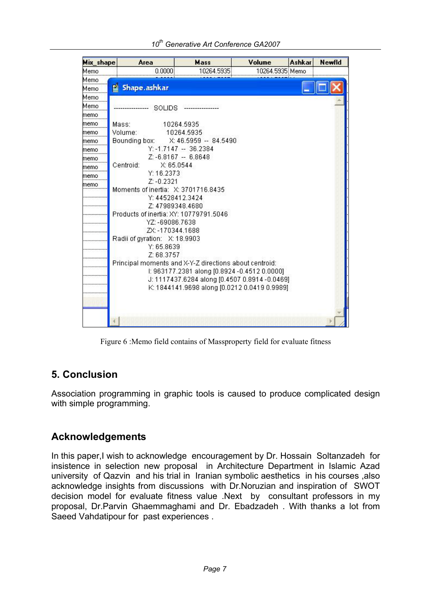| Mix_shape | Area                                                      | Mass                                          | Volume | <b>Ashkar</b>   | <b>Newfld</b> |  |  |
|-----------|-----------------------------------------------------------|-----------------------------------------------|--------|-----------------|---------------|--|--|
| Memo      | 0.0000                                                    | 10264.5935                                    |        | 10264.5935 Memo |               |  |  |
| Memo      |                                                           |                                               |        |                 |               |  |  |
| Memo      | Shape.ashkar<br>뗱                                         |                                               |        |                 |               |  |  |
| Memo      |                                                           |                                               |        |                 |               |  |  |
| Memo      | SOLIDS                                                    |                                               |        |                 |               |  |  |
| memo      |                                                           |                                               |        |                 |               |  |  |
| memo      | Mass:                                                     | 10264.5935                                    |        |                 |               |  |  |
| memo      | Volume:                                                   | 10264.5935                                    |        |                 |               |  |  |
| memo      | Bounding box:                                             | X: 46.5959 -- 84.5490                         |        |                 |               |  |  |
| memo      |                                                           | $Y: -1.7147 - 36.2384$                        |        |                 |               |  |  |
| memo      | Z: -6.8167 -- 6.8648                                      |                                               |        |                 |               |  |  |
| memo      | Centroid:<br>X: 65.0544                                   |                                               |        |                 |               |  |  |
| memo      | Y: 16.2373                                                |                                               |        |                 |               |  |  |
| memo      | $Z: -0.2321$                                              |                                               |        |                 |               |  |  |
|           | Moments of inertia: X: 3701716.8435<br>Y: 44528412.3424   |                                               |        |                 |               |  |  |
|           | Z: 47989348.4680                                          |                                               |        |                 |               |  |  |
|           |                                                           |                                               |        |                 |               |  |  |
|           | Products of inertia: XY: 10779791.5046<br>YZ: -69086.7638 |                                               |        |                 |               |  |  |
|           | ZX: -170344.1688                                          |                                               |        |                 |               |  |  |
|           | Radii of gyration: X: 18.9903                             |                                               |        |                 |               |  |  |
|           | Y: 65.8639                                                |                                               |        |                 |               |  |  |
|           | Z: 68.3757                                                |                                               |        |                 |               |  |  |
|           | Principal moments and X-Y-Z directions about centroid:    |                                               |        |                 |               |  |  |
|           |                                                           | l: 963177.2381 along [0.8924-0.4512 0.0000]   |        |                 |               |  |  |
|           |                                                           | J: 1117437.6284 along [0.4507 0.8914 -0.0469] |        |                 |               |  |  |
|           |                                                           | K: 1844141.9698 along [0.0212 0.0419 0.9989]  |        |                 |               |  |  |
|           |                                                           |                                               |        |                 |               |  |  |
|           |                                                           |                                               |        |                 |               |  |  |
|           |                                                           |                                               |        |                 |               |  |  |
|           |                                                           |                                               |        |                 |               |  |  |

Figure 6 :Memo field contains of Massproperty field for evaluate fitness

# **5. Conclusion**

Association programming in graphic tools is caused to produce complicated design with simple programming.

# **Acknowledgements**

In this paper,I wish to acknowledge encouragement by Dr. Hossain Soltanzadeh for insistence in selection new proposal in Architecture Department in Islamic Azad university of Qazvin and his trial in Iranian symbolic aesthetics in his courses ,also acknowledge insights from discussions with Dr.Noruzian and inspiration of SWOT decision model for evaluate fitness value .Next by consultant professors in my proposal, Dr.Parvin Ghaemmaghami and Dr. Ebadzadeh . With thanks a lot from Saeed Vahdatipour for past experiences .